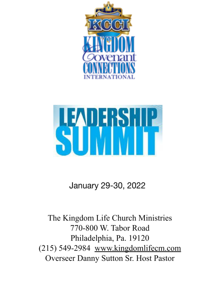



## January 29-30, 2022

The Kingdom Life Church Ministries 770-800 W. Tabor Road Philadelphia, Pa. 19120 (215) 549-2984 www.kingdomlifecm.com Overseer Danny Sutton Sr. Host Pastor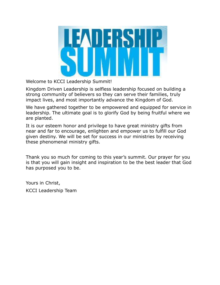

Welcome to KCCI Leadership Summit!

Kingdom Driven Leadership is selfless leadership focused on building a strong community of believers so they can serve their families, truly impact lives, and most importantly advance the Kingdom of God.

We have gathered together to be empowered and equipped for service in leadership. The ultimate goal is to glorify God by being fruitful where we are planted.

It is our esteem honor and privilege to have great ministry gifts from near and far to encourage, enlighten and empower us to fulfill our God given destiny. We will be set for success in our ministries by receiving these phenomenal ministry gifts.

Thank you so much for coming to this year's summit. Our prayer for you is that you will gain insight and inspiration to be the best leader that God has purposed you to be.

Yours in Christ, KCCI Leadership Team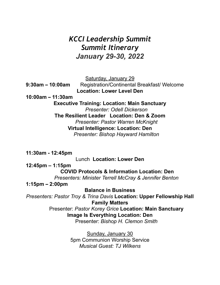## *KCCI Leadership Summit Summit Itinerary January 29-30, 2022*

Saturday, January 29

**9:30am – 10:00am** Registration/Continental Breakfast/ Welcome **Location: Lower Level Den**

**10:00am – 11:30am**

**Executive Training: Location: Main Sanctuary** *Presenter: Odell Dickerson* **The Resilient Leader Location: Den & Zoom** *Presenter: Pastor Warren McKnight* **Virtual Intelligence: Location: Den** *Presenter: Bishop Hayward Hamilton*

**11:30am - 12:45pm** Lunch **Location: Lower Den 12:45pm – 1:15pm COVID Protocols & Information Location: Den** *Presenters: Minister Terrell McCray & Jennifer Benton*

**1:15pm – 2:00pm**

**Balance in Business**

*Presenters: Pastor Troy & Trina Davis* **Location: Upper Fellowship Hall Family Matters**

Presenter: *Pastor Korey Grice* **Location: Main Sanctuary Image Is Everything Location: Den** Presenter: *Bishop H. Clemon Smith*

> Sunday, January 30 5pm Communion Worship Service *Musical Guest: TJ Wilkens*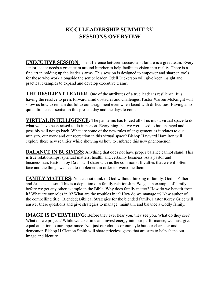## **KCCI LEADERSHIP SUMMIT 22' SESSIONS OVERVIEW**

**EXECUTIVE SESSION:** The difference between success and failure is a great team. Every senior leader needs a great team around him/her to help facilitate vision into reality. There is a fine art in holding up the leader's arms. This session is designed to empower and sharpen tools for those who work alongside the senior leader. Odell Dickerson will give keen insight and practical examples to expand and develop executive teams.

**THE RESILIENT LEADER:** One of the attributes of a true leader is resilience. It is having the resolve to press forward amid obstacles and challenges. Pastor Warren McKnight will show us how to remain dutiful to our assignment even when faced with difficulties. Having a no quit attitude is essential in this present day and the days to come.

**VIRTUAL INTELLIGENCE:** The pandemic has forced all of us into a virtual space to do what we have been raised to do in person. Everything that we were used to has changed and possibly will not go back. What are some of the new rules of engagement as it relates to our ministry, our work and our recreation in this virtual space? Bishop Hayward Hamilton will explore these new realities while showing us how to embrace this new phenomenon.

**BALANCE IN BUSINESS:** Anything that does not have proper balance cannot stand. This is true relationships, spiritual matters, health, and certainly business. As a pastor and businessman, Pastor Troy Davis will share with us the common difficulties that we will often face and the things we need to implement in order to overcome them.

**FAMILY MATTERS:** You cannot think of God without thinking of family. God is Father and Jesus is his son. This is a depiction of a family relationship. We get an example of family before we get any other example in the Bible. Why does family matter? How do we benefit from it? What are our roles in it? What are the troubles in it? How do we manage it? New author of the compelling title "Blended; Biblical Strategies for the blended family, Pastor Korey Grice will answer these questions and give strategies to manage, maintain, and balance a Godly family.

**IMAGE IS EVERYTHING:** Before they ever hear you, they see you. What do they see? What do we project? While we take time and invest energy into our performance, we must give equal attention to our appearance. Not just our clothes or our style but our character and demeanor. Bishop H Clemon Smith will share priceless gems that are sure to help shape our image and identity.